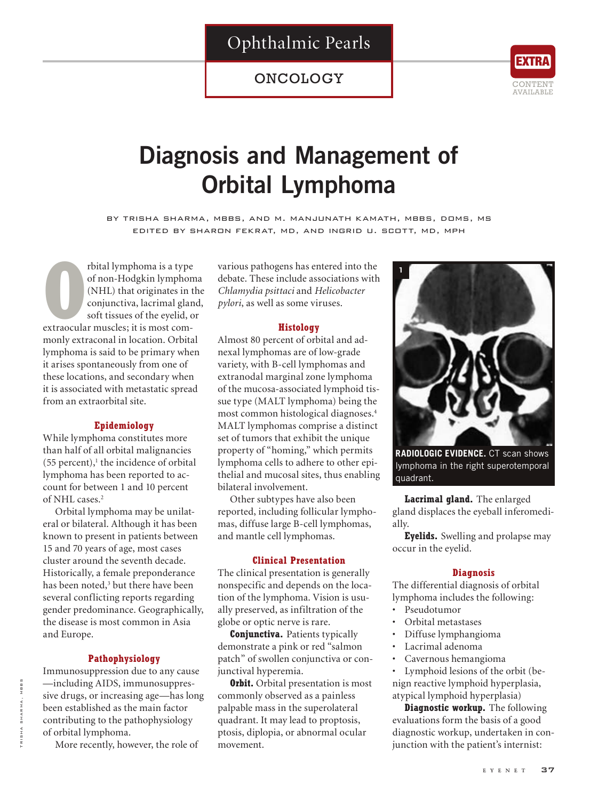## Ophthalmic Pearls

### ONCOLOGY



# **Diagnosis and Management of Orbital Lymphoma**

by trisha sharma, mbbs, and m. manjunath kamath, mbbs, doms, ms edited by sharon fekrat, md, and ingrid u. scott, md, mph

**PERENT TERN PROPERTIES:** The originates in the conjunctiva, lacrimal glar soft tissues of the eyelid, continuously is most comrbital lymphoma is a type of non-Hodgkin lymphoma (NHL) that originates in the conjunctiva, lacrimal gland, soft tissues of the eyelid, or monly extraconal in location. Orbital lymphoma is said to be primary when it arises spontaneously from one of these locations, and secondary when it is associated with metastatic spread from an extraorbital site.

#### **Epidemiology**

While lymphoma constitutes more than half of all orbital malignancies  $(55$  percent),<sup>1</sup> the incidence of orbital lymphoma has been reported to account for between 1 and 10 percent of NHL cases.<sup>2</sup>

Orbital lymphoma may be unilateral or bilateral. Although it has been known to present in patients between 15 and 70 years of age, most cases cluster around the seventh decade. Historically, a female preponderance has been noted,<sup>3</sup> but there have been several conflicting reports regarding gender predominance. Geographically, the disease is most common in Asia and Europe.

#### **Pathophysiology**

Immunosuppression due to any cause —including AIDS, immunosuppressive drugs, or increasing age—has long been established as the main factor contributing to the pathophysiology of orbital lymphoma.

More recently, however, the role of

various pathogens has entered into the debate. These include associations with *Chlamydia psittaci* and *Helicobacter pylori*, as well as some viruses.

#### **Histology**

Almost 80 percent of orbital and adnexal lymphomas are of low-grade variety, with B-cell lymphomas and extranodal marginal zone lymphoma of the mucosa-associated lymphoid tissue type (MALT lymphoma) being the most common histological diagnoses.4 MALT lymphomas comprise a distinct set of tumors that exhibit the unique property of "homing," which permits lymphoma cells to adhere to other epithelial and mucosal sites, thus enabling bilateral involvement.

Other subtypes have also been reported, including follicular lymphomas, diffuse large B-cell lymphomas, and mantle cell lymphomas.

#### **Clinical Presentation**

The clinical presentation is generally nonspecific and depends on the location of the lymphoma. Vision is usually preserved, as infiltration of the globe or optic nerve is rare.

**Conjunctiva.** Patients typically demonstrate a pink or red "salmon patch" of swollen conjunctiva or conjunctival hyperemia.

**Orbit.** Orbital presentation is most commonly observed as a painless palpable mass in the superolateral quadrant. It may lead to proptosis, ptosis, diplopia, or abnormal ocular movement.



**RADIOLOGIC EVIDENCE.** CT scan shows lymphoma in the right superotemporal quadrant.

**Lacrimal gland.** The enlarged gland displaces the eyeball inferomedially.

**Eyelids.** Swelling and prolapse may occur in the eyelid.

#### **Diagnosis**

The differential diagnosis of orbital lymphoma includes the following:

- Pseudotumor
- Orbital metastases
- Diffuse lymphangioma
- Lacrimal adenoma
- Cavernous hemangioma

• Lymphoid lesions of the orbit (benign reactive lymphoid hyperplasia, atypical lymphoid hyperplasia)

**Diagnostic workup.** The following evaluations form the basis of a good diagnostic workup, undertaken in conjunction with the patient's internist: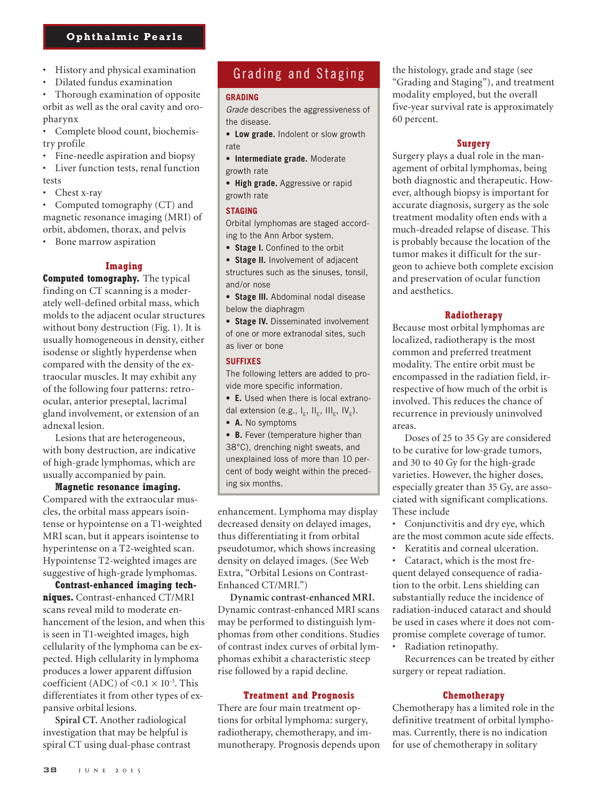#### **Ophthalmic Pearls**

- History and physical examination
- Dilated fundus examination

• Thorough examination of opposite orbit as well as the oral cavity and oropharynx

• Complete blood count, biochemistry profile

• Fine-needle aspiration and biopsy

• Liver function tests, renal function tests

Chest x-ray

• Computed tomography (CT) and magnetic resonance imaging (MRI) of orbit, abdomen, thorax, and pelvis

Bone marrow aspiration

#### **Imaging**

**Computed tomography.** The typical finding on CT scanning is a moderately well-defined orbital mass, which molds to the adjacent ocular structures without bony destruction (Fig. 1). It is usually homogeneous in density, either isodense or slightly hyperdense when compared with the density of the extraocular muscles. It may exhibit any of the following four patterns: retroocular, anterior preseptal, lacrimal gland involvement, or extension of an adnexal lesion.

Lesions that are heterogeneous, with bony destruction, are indicative of high-grade lymphomas, which are usually accompanied by pain.

**Magnetic resonance imaging.**  Compared with the extraocular muscles, the orbital mass appears isointense or hypointense on a T1-weighted MRI scan, but it appears isointense to hyperintense on a T2-weighted scan. Hypointense T2-weighted images are suggestive of high-grade lymphomas.

**Contrast-enhanced imaging techniques.** Contrast-enhanced CT/MRI scans reveal mild to moderate enhancement of the lesion, and when this is seen in T1-weighted images, high cellularity of the lymphoma can be expected. High cellularity in lymphoma produces a lower apparent diffusion coefficient (ADC) of  $< 0.1 \times 10^{-3}$ . This differentiates it from other types of expansive orbital lesions.

**Spiral CT.** Another radiological investigation that may be helpful is spiral CT using dual-phase contrast

### Grading and Staging

#### **GRADING**

*Grade* describes the aggressiveness of the disease.

**• Low grade.** Indolent or slow growth rate

- **• Intermediate grade.** Moderate growth rate
- **• High grade.** Aggressive or rapid growth rate

#### **STAGING**

Orbital lymphomas are staged according to the Ann Arbor system.

**• Stage I.** Confined to the orbit

**• Stage II.** Involvement of adjacent structures such as the sinuses, tonsil, and/or nose

**• Stage III.** Abdominal nodal disease below the diaphragm

**• Stage IV.** Disseminated involvement of one or more extranodal sites, such as liver or bone

#### **SUFFIXES**

The following letters are added to provide more specific information.

**• E.** Used when there is local extranodal extension (e.g.,  $I_{E}$ ,  $II_{E}$ ,  $III_{E}$ ,  $IV_{E}$ ).

**• A.** No symptoms

**• B.** Fever (temperature higher than 38°C), drenching night sweats, and unexplained loss of more than 10 percent of body weight within the preceding six months.

enhancement. Lymphoma may display decreased density on delayed images, thus differentiating it from orbital pseudotumor, which shows increasing density on delayed images. (See Web Extra, "Orbital Lesions on Contrast-Enhanced CT/MRI.")

**Dynamic contrast-enhanced MRI.**  Dynamic contrast-enhanced MRI scans may be performed to distinguish lymphomas from other conditions. Studies of contrast index curves of orbital lymphomas exhibit a characteristic steep rise followed by a rapid decline.

#### **Treatment and Prognosis**

There are four main treatment options for orbital lymphoma: surgery, radiotherapy, chemotherapy, and immunotherapy. Prognosis depends upon the histology, grade and stage (see "Grading and Staging"), and treatment modality employed, but the overall five-year survival rate is approximately 60 percent.

#### **Surgery**

Surgery plays a dual role in the management of orbital lymphomas, being both diagnostic and therapeutic. However, although biopsy is important for accurate diagnosis, surgery as the sole treatment modality often ends with a much-dreaded relapse of disease. This is probably because the location of the tumor makes it difficult for the surgeon to achieve both complete excision and preservation of ocular function and aesthetics.

#### **Radiotherapy**

Because most orbital lymphomas are localized, radiotherapy is the most common and preferred treatment modality. The entire orbit must be encompassed in the radiation field, irrespective of how much of the orbit is involved. This reduces the chance of recurrence in previously uninvolved areas.

Doses of 25 to 35 Gy are considered to be curative for low-grade tumors, and 30 to 40 Gy for the high-grade varieties. However, the higher doses, especially greater than 35 Gy, are associated with significant complications. These include

• Conjunctivitis and dry eye, which are the most common acute side effects.

Keratitis and corneal ulceration.

• Cataract, which is the most frequent delayed consequence of radiation to the orbit. Lens shielding can substantially reduce the incidence of radiation-induced cataract and should be used in cases where it does not compromise complete coverage of tumor.

• Radiation retinopathy.

Recurrences can be treated by either surgery or repeat radiation.

#### **Chemotherapy**

Chemotherapy has a limited role in the definitive treatment of orbital lymphomas. Currently, there is no indication for use of chemotherapy in solitary